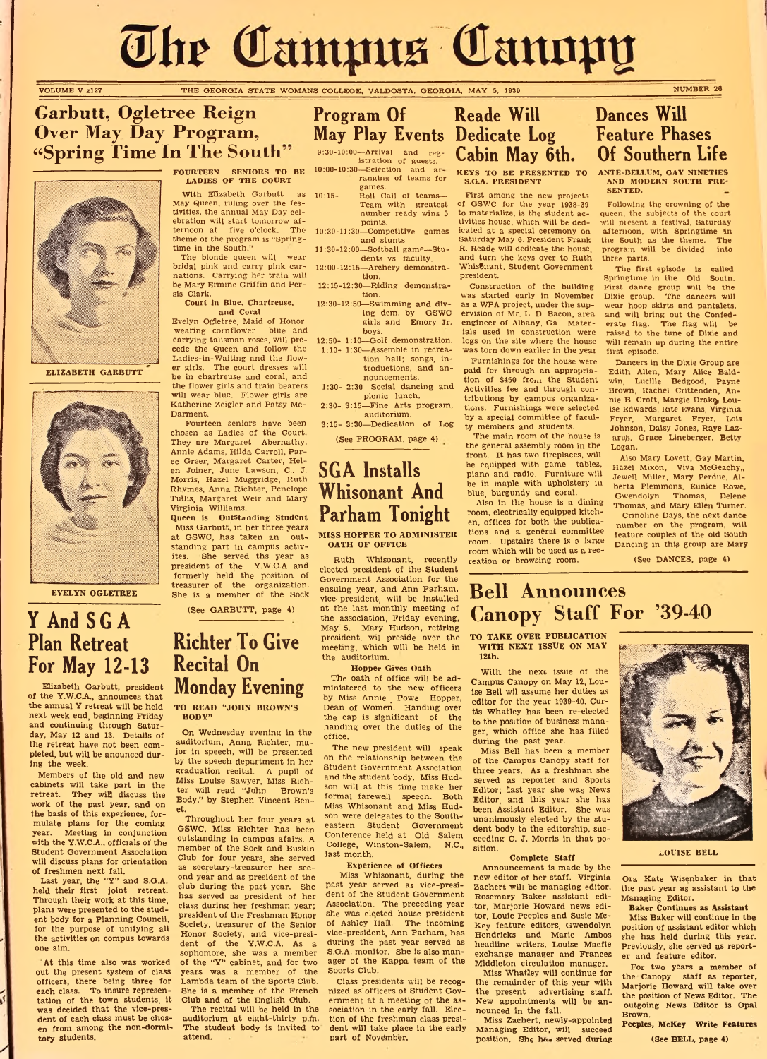# The Campus Cannpy

VOLUME V z127 THE GEORGIA STATE WOMANS COLLEGE, VALDOSTA, GEORGIA, MAY 5, 1939 NUMBER 26

### **Garbutt, Ogletree Reign Over May, Day Program, "Spring Time In The South**

# Y And SGA Plan Retreat For May 12-13



ELIZABETH GARBUTT



EVELYN OGLETREE

Members of the old and new cabinets will take part in the retreat. They will discuss the work of the past year, and on the basis of this experience, formulate plans for the coming

Elizabeth Garbutt, president of the Y.W.C.A., announces that the annual Y retreat will be held next week end, beginning Friday and continuing through Saturday, May 12 and 13. Details of the retreat have not been com pleted, but will be anounced during the week.

Last year, the "Y" and S.G.A. held their first joint retreat. Through their work at this time, plans were presented to the student body for a Planning Council, for the purpose of unifying all the activities on compus towards one aim.

With Elizabeth Garbutt as  $10:15-$ May Queen, ruling over the festivities, the annual May Day celebration will start tomorrow afternoon at five o'clock. The 10:30-11:30—Competitive games theme of the program is "Springtime in the South."

year. Meeting in conjunction with the Y.W.C.A., officials of the Student Government Association will discuss plans for orientation of freshmen next fall.

At this time also was worked out the present system of class officers, there being three for each class. To insure representation of the town students, it was decided that the vice-presdent of each class must be chosen from among the non-dormitory students.

istration of guests. 10:00-10:30—Selection and arranging of teams for games. Roll Call of teams-

FOURTEEN SENIORS TO BE LADIES OF THE COURT

The blonde queen will wear bridal pink and carry pink carnations. Carrying her train will be Mary Ermine Griffin and Persis Clark.

Court in Blue, Chartreuse, and Coral

Evelyn Ogletree, Maid of Honor, wearing cornflower blue and carrying talisman roses, will precede the Queen and follow the Ladies-in-Waiting and the flower girls. The court dresses will be in chartreuse and coral, and the flower girls and train bearers will wear blue. Flower girls are Katherine Zeigler and Patsy Mc-Darment.

Fourteen seniors have been chosen as Ladies of the Court. They are Margaret Abernathy, Annie Adams, Hilda Carroll, Paree Greer, Margaret Carter, Helen Joiner, June Lawson, C.. J. Morris, Hazel Muggridge, Ruth Rhymes, Anna Richter, Penelope Tullis, Margaret Weir and Mary Virginia Williams.

Queen is Outstanding Student Miss Garbutt, in her three years at GSWC, has taken an outstanding part in campus activites. She served ths year as president of the Y.W.C.A and formerly held the position of treasurer of the organization. She is a member of the Sock

(See GARBUTT, page 4)

Class presidents will be recognized as' officers of Student Government at a meeting of the association in the early fall. Election of the freshman class president will take place in the early part of November.

- Team with greatest number ready wins 5 points.
- and stunts.
- 11:30-12:00—Softball game—Students vs. faculty.
- 12:00-12:15—Archery demonstration.
- 12:15-12:30—Riding demonstration.
- 12:30-12:50—Swimming and diving dem. by GSWC girls and Emory Jr. boys.
- 12:50- 1:10—Golf demonstration. 1:10- 1:30—Assemble in recreation hall; songs, introductions, and announcements.
- 1:30- 2:30—Social dancing and picnic lunch.
- 2:30-3:15—Fine Arts program, auditorium.
- 3:15- 3:30—Dedication of Log

(See PROGRAM, page 4)

### Dances Will Feature Phases Of Southern Life

S.G.A. PRESIDENT

### SGA Installs Whisonant And Parham Tonight

#### MISS HOPPER TO ADMINISTER OATH OF OFFICE

# Richter To Give Recital On Monday Evening

TO READ "JOHN BROWN'S BODY"

Following the crowning of the queen, the subjects of the court will piesent a festival, Saturday afternoon, with Springtime in the South as the theme. The<br>program will be divided into program will be divided three parts.

On Wednesday evening in the auditorium, Anna Richter, major in speech, will be presented by the speech department in her graduation recital. A pupil of Miss Louise Sawyer, Miss Richter will read "John Brown's Body," by Stephen Vincent Benet.

Throughout her four years at GSWC, Miss Richter has been outstanding in campus afairs. A member of the Sock and Buskin Club for four years, she served as secretary-treasurer her second year and as president of the club during the past year. She has served as president of her class during her freshman year; president of the Freshman Honor Society, treasurer of the Senior Honor Society, and vice-president of the Y.W.C.A. As a sophomore, she was a member of the "Y" cabinet, and for two years was a member of the Lambda team of the Sports Club. She is a member of the French Club and of the English Club.

Program Of Reade Will May Play Events Dedicate Log  $2^{(30-10:00-Arrival}$  and reg- Cabin May 6th.

> With the next issue of the Campus Canopy on May 12, Louise Bell wil assume her duties as editor for the year 1939-40. Curtis Whatley has been re-elected to the position of business manager, which office she has filled during the past year.

The recital will be held in the auditorium at eight-thirty p.fh. The student body is invited to attend.

Ruth Whisonant, recently elected president of the Student Government Association for the ensuing year, and Ann Parham, vice-president, will be installed at the last monthly meeting of the association, Friday evening, May 5. Mary Hudson, retiring president, wil preside over the meeting, which will be held in the auditorium.

> Miss Zachert, newly-appointed Managing Editor, will succeed position. She has served during



#### Hopper Gives Oath

The oath of office will be administered to the new officers by Miss Annie <sub>-</sub> Powe - Hopper, Dean of Women. Handing over the cap is significant of the handing over the duties of the office.

The new president will speak on the relationship between the Student Government Association and the student body. Miss Hudson will at this time make her formal farewell speech. Both Miss Whisonant and Miss Hudson were delegates to the Southeastern Student Government Conference held at Old Salem College, Winston-Salem, N.C., last month.

KEYS TO BE PRESENTED TO ANTE-BELLUM, GAY NINETIES AND MODERN SOUTH PRE-SENTED.

Experience of Officers

Miss Whisonant, during the past year served as vice-president of the Student Government Association. The preceding year she was elected house president of Ashley Hall. The incoming vice-president, Ann Parham, has during the past year served as S.G.A, monitor. She is also manager of the Kappa team of the Sports Club.

First among the new projects of GSWC for the year 1938-39 to materialize, is the student activities house, which will be dedicated at a special ceremony on Saturday May 6. President Frank R. Reade will dedicate the house, and turn the keys over to Ruth Whisonant, Student Government president.

Construction of the building was started early in November as a WPA project, under the supervision of Mr. L. D. Bacon, area engineer of Albany, Ga. Materials used in construction were logs on the site where the house was torn down earlier in the year

Furnishings for the house were paid for through an appropriation of \$450 from the Student Activities fee and through contributions by campus organizations. Furnishings were selected by a special committee of faculty members and students.

The main room of the house is the general assembly room in the front. It has two fireplaces, will be equipped with game tables, piano and radio. Furniture will be in maple with upholstery in blue, burgundy and coral.

Also in the house is a dining room, electrically equipped kitchen, offices for both the publications and a general committee room. Upstairs there is a large room which will be used as a recreation or browsing room.

The first episode is called Springtime in the Old South. First dance group will be the Dixie group. The dancers will wear hoop skirts and pantalets, and will bring out the Confederate flag. The flag will be raised to the tune of Dixie and will remain up during the entire first episode.

Dancers in the Dixie Group are Edith Allen, Mary Alice Baldwin, Lucille Bedgood, Payne Brown, Rachel Crittenden, Annie B. Croft, Margie Drake Louise Edwards, Rite Evans, Virginia Fryer, Margaret Fryer, Lois Johnson, Daisy Jones, Raye Lazaruß, Grace Lineberger, Betty Logan.

Also Mary Lovett, Gay Martin, Hazel Mixon, Viva McGeachy,, Jewell Miller, Mary Perdue, Alberta Plemmons, Eunice Rowe, Gwendolyn Thomas, Delenc Thomas, and Mary Ellen Turner.

Crinoline Days, the next dance number on the program, will feature couples of the old South Dancing in this group are Mary

(See DANCES, page 4)

# **Bell Announces Canopy Staff For '39-40**

TO TAKE OVER PUBLICATION WITH NEXT ISSUE ON MAY 12th.

Miss Bell has been a member of the Campus Canopy staff for three years. As a freshman she served as reporter and Sports Editor; last year she was News Editor, and this year she has been Assistant Editor. She was unanimously elected by the student body to the editorship, succeeding C. J. Morris in that position.

Complete Staff Announcement is made by the new editor of her staff. Virginia Zachert will be managing editor, Rosemary Baker assistant editor, Marjorie Howard news editor, Louie Peeples and Susie Mc-Key feature editors, Gwendolyn Hendricks and Marie Ambos headline writers, Louise Macfie exchange manager and Frances Middleton circulation manager. Miss Whatley will continue for the remainder of this year with the present advertising staff. New appointments will be an-

nounced in the fall.

LOUISE BELL

Ora Kate Wisenbaker in that the past year as assistant to the Managing Editor.

Baker Continues as Assistant

Miss Baker will continue in the position of assistant editor which she has held during this year. Previously, she served as reporter and feature editor.

For two years a member of the Canopy staff as reporter, Marjorie Howard will take over the position of News Editor. The outgoing News Editor is Opal Brown.

Peeples, McKey Write Features

(See BELL, page 4)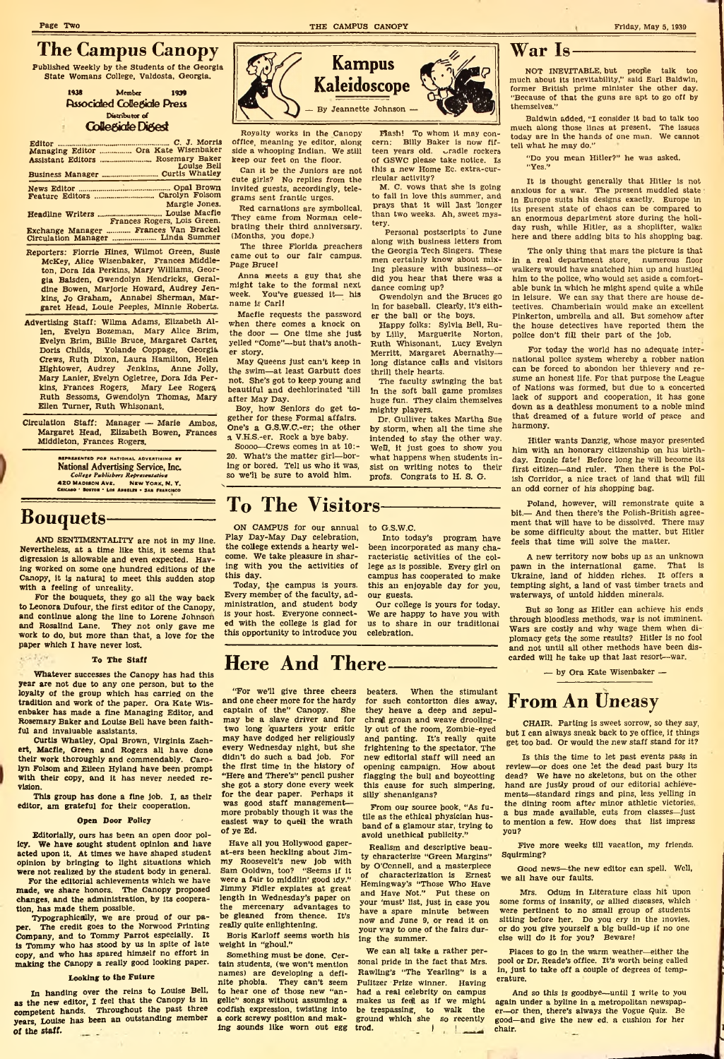### **The Campus Canopy**

Published Weekly by the Students of the Georgia State Womans College, Valdosta, Georgia.

> 1938 Member 1939 Associated Collegiate Press Distributor of **Collegiate Digest**

### Editor \_\_\_\_\_\_ \_\_\_\_\_\_\_\_\_\_\_\_\_\_\_\_\_\_\_\_ C. J. Morris Managing Editor\_\_\_\_\_\_\_ Ora Kate Wisenbaker Assistant Editors\_\_\_\_\_\_\_\_\_\_\_\_ Rosemary Baker Louise Bell Business Manager\_.....— —--------------------- Curtis Whatley News Editor\_\_\_\_\_\_\_\_\_\_J---------------- Opal Brown Feature Editors\_\_\_\_\_\_\_\_\_\_\_\_\_\_\_\_\_\_\_\_\_\_ Carolyn Folsom Margie Jones. Headline Writers\_\_\_\_\_\_\_\_\_\_\_\_\_\_\_ Louise Macfle Frances Rogers, Lois Green.

Exchange Manager ............ Frances Van Brackel Circulation Manager----------------Linda Summer Reporters: Florrie Hines, Wilmot Green, Susie McKey, Alice Wisenbaker, Frances Middle-

ton, Dora Ida Perkins, Mary Williams, Georgia Baisden, Gwendolyn Hendricks, Geraldine Bowen, Marjorie Howard, Audrey Jenkins, Jo Graham, Annabel Sherman, Margaret Head, Louie Peeples, Minnie Roberts.

- Advertising Staff: Wilma Adams, Elizabeth Allen, Evelyn Bozeman, Mary Alice Brim, Evelyn Brim, Billie Bruce, Margaret Carter; Doris Childs, Yolande Coppage, Georgia Crews, Ruth Dixon, Laura Hamilton, Helen Hightower, Audrey Jenkins, Anne Jolly, Mary Lanier, Evelyn Ogletree, Dora Ida Perkins, Frances Rogers, Mary Lee Rogers Ruth Sessoms, Gwendolyn Thomas, Mary Ellen Turner, Ruth Whisonant.
- Circulation Staff: Manager Marie Ambos, Margaret Head, Elizabeth Bowen, Frances Middleton, Frances Rogers.

MESENTED FOR NATIONAL ADVERTISING BY National Advertising Service, Inc. *College Publishers Representative* 420 MADISON AVE. CHICAGO \* BOSTON \* LOS ANGELES . SAN FRANCISCO

### **Bouquets**

 $\alpha \sim 7.99$ 

AND SENTIMENTALITY are not in my line. Nevertheless, at a time like this, it seems that digression is allowable and even expected. Having worked on some one hundred editions of the Canopy, it is natural to meet this sudden stop with a feeling of unreality.

For the bouquets, they go all the way back to Leonora Dufour, the first editor of the Canopy, and continue along the line to Lorene Johnson and Rosalind Lane. They not only gave me work to do, but more than that, a love for the paper which I have never lost.

#### To The Staff

Whatever successes the Canopy has had this year are not due to any one person, but to the loyalty of the group which has carried on the tradition and work of the paper. Ora Kate Wisenbaker has made a fine Managing Editor, and Rosemary Baker and Louise Bell have been faithful and invaluable assistants.

Curtis Whatley, Opal Brown, Virginia Zachert, Macfle, Green and Rogers all have done their work thoroughly and commendably. Carolyn Folsom and Eileen Hyland have been prompt with their copy, and it has never needed revision.

This group has done a fine job. I, as their editor, am grateful for their cooperation.

#### Open Door Policy

Editorially, ours has been an open door policy. We have sought student opinion and have acted upon it. At times we have shaped student opinion by bringing to light situations which were not realized by the student body in general.

For the editorial achievements which we have made, we share honors. The Canopy proposed changes, and the administration, by its cooperation, has made them possible.

Typographically, we are proud of our paper. The credit goes to the Norwood Printing Company, and to Tommy Parrot especially. It is Tommy who has stood by us in spite of late copy, and who has spared himself no effort in making the Canopy a really good looking paper.

#### Looking to the Future

In handing over the reins to Louise Bell, as the new editor, I feel that the Canopy is in competent hands. Throughout the past three years, Louise has been an outstanding member of the staff.  $\qquad \qquad$  $\sim 10^{-1}$  m/s  $\sim 10^{-1}$ 



Royalty works in the Canopy office, meaning ye editor, along side a whooping Indian. We still keep our feet on the floor.

Can it be the Juniors are not cute girls? No replies from the Invited guests, accordingly, telegrams sent frantic urges.

Red carnations are symbolical. They came from Norman celebrating their third anniversary. (Months, you dope.)

The three Florida preachers came out to our fair campus. Page Bruce!

Anna meets a guy that she might take to the formal next week. You've guessed it— his name is Carl!

Macfie requests the password when there comes a knock on the door — One time she just yelled "Come"—but that's another story.

May Queens just can't keep in the swim—at least Garbutt does not. She's got to keep young and beautiful and dechlorinated 'till after May Day.

Boy, how Seniors do get together for these Formal affairs. One's a G.S.W.C.-er; the other a V.K.S.-er. Rock a bye baby.

Soooo—Crews comes in at 10:- 20. What's the matter girl—boring or bored. Tell us who it was, so we'll be sure to avoid him.

ON CAMPUS for our annual to G.S.W.C. Play Day-May Day celebration, the college extends a hearty welcome. We take pleasure in sharing with you the activities of this day.

Today, the campus is yours. Every member of the faculty, administration, and student body is your host. Everyone connected with the college is glad for this opportunity to introduce you

Hash! To whom It may concern: Billy Baker Is now fifteen years old. Uradle rockers of GSWC please take notice. Is this a new Home Ec. extra-curricular activity?

M. C. vows that she Is going to fall in love this summer, and prays that it will last 'longer than two weeks. Ah, sweet mystery.

Personal postscripts to June along with business letters from the Georgia Tech Singers. These men certainly know about mixing pleasure with business—or did you hear that there was a dance coming up? Gwendolyn and the Bruces go

in for baseball. Clearly, it's either the ball or the boys.

Happy folks: Sylvia Bell, Ruby Lilly, Marguerite Norton, Ruth Whisonant, Lucy Evelyn Merritt, Margaret Abernathy long distance calls and visitors thrill their hearts.

The faculty swinging the bat In the soft ball game promises huge fun. They claim themselves mighty players.

Dr. Gulliver takes Martha Sue by storm, when all the time she intended to stay the other way. Well, it just goes to show you what happens when students insist on writing notes to their profs. Congrats to H. S. G.

### **To The Visitors**

Into today's program have

been incorporated as many characteristic activities of the college as is possible. Every girl on campus has cooperated to make this an enjoyable day for you, our guests.

Our college is yours for today. We are happy to have you with us to share in our traditional celebration.

### **Here And There**

"For we'll give three cheers and one cheer more for the hardy captain of the" Canopy. She may be a slave driver and for two long quarters your critic may have dodged her religiously every Wednesday night, but she didn't do such a bad job. For the first time in the history of "Here and There's" pencil pusher she got a story done every week for the dear paper. Perhaps it was good staff management more probably though it was the easiest way to quell the wrath of ye Ed.

Have all you Hollywood gaperat-ers been heckling about Jimmy Roosevelt's new job with Sam Goldwn, too? "Seems if it were a fair to middlin' good idy." Jimmy Fidler expiates at great length in Wednesday's paper on the mercenary advantages to be gleaned from thence. It's really quite enlightening.

Boris Karloff seems worth his weight in "ghoul."

Something must be done. Certain students, (we won't mention names) are developing a definite phobia. They can't seem to hear one of those new "angelic" songs without assuming a codfish expression, twisting into a cork screwy position and making sounds like worn out egg

beaters. When the stimulant for such contortion dies away, they heave a deep and sepulchral groan and weave droolingly out of the room, Zombie-eyed and panting. It's really quite frightening to the spectator. The new editorial staff will need an opening campaign. How about flagging the bull and boycotting this cause for such simpering, silly' shenanigans?

From our source book, "As futile as the ethical physician husband of a glamour star, trying to avoid unethical publicity."

Realism and descriptive beauty characterize "Green Margins" by O'Connell, and a masterpiece<br>of characterization is Ernest of characterization is Ernest Hemingway's "Those Who Have and Have Not." Put these on your 'must' list, just in case you have a spare minute between now and June 9, or read it on your way to one of the fairs during the summer.

We can all take a rather personal pride in the fact that Mrs. Rawling's "The Yearling" is a Pulitzer Prize winner. Having had a real celebrity on campus makes us fed! as if we might be trespassing, to walk the ground which she so recently trod.  $\qquad \qquad -1$   $\qquad \qquad 1$ 

**War Is**

NOT INEVITABLE, but people talk too much about its inevitability," said Earl Baldwin, former British prime minister the other day. "Because of that the guns are apt to go off by themselves."

Baldwin added, "I consider it bad to talk too much along those lines at present. The issues today are in the hands of one man. We cannot tell what he may do."

"Do you mean Hitler?" he was asked. "Yes."

It is thought generally that Hitler is not anxious for a war. The present muddled state ip Europe suits his designs exactly. Europe in its present state of chaos can be compared to an enormous department store during the holiday rush, while Hitler, as a shoplifter, walks here and there adding bits to his shopping bag.

The only thing that mars the picture is that in a real department store, numerous floor walkers would have snatched him up and hustled him to the police, who would set aside a comfortable bunk in which he might spend quite a while in leisure. We can say that there are house detectives. Chamberlain would make an excellent Pinkerton, umbrella and all. But somehow after the house detectives have reported them the police don't fill their part of the job.

For today the world has no adequate international police system whereby a robber nation can be forced to abondon her thievery and resume an honest life. For that purpose the League of Nations was formed, but due to a concerted lack of support and cooperation, it has gone down as a deathless monument to a noble mind that dreamed of a future world of peace and harmony.

Hitler wants Danzig, whose mayor presented him with an honorary citizenship on his birthday. Ironic fate! Before long he will become its first citizen—and ruler. Then there is the Polish Corridor, a nice tract of land that will fill an odd comer of his shopping bag.

Poland, however, will remonstrate quite a bit.— And then there's the Polish-British agreement that will have to be dissolved. There may be some difficulty about the matter, but Hitler feels that time will solve the matter.

A new territory now bobs up as an unknown pawn in the international game. That is Ukraine, land of hidden riches. It offers a tempting sight, a land of vast timber tracts and waterways, of untold hidden minerals.

But so long as Hitler can achieve his ends through bloodless methods, war is not imminent. Wars are costly and why wage them when diplomacy gets the some results? Hitler is no fool and not until all other methods have been discarded will he take up that last resort—war.

— by Ora Kate Wisenbaker —

### **From An Uneasy**

CHAIR. Parting is sweet sorrow, so they say, but I can always sneak back to ye office, if things get too bad. Or would the new staff stand for it?

IS this the time to let past events pass in review—or does one let the dead past bury its dead? We have no skeletons, but on the other hand are justly proud of our editorial achievements—standard rings and pins, less yelling in the dining room after minor athletic victories. a bus made available, cuts from classes—just to mention a few. How does that list impress you?

Five more weeks till vacation, my friends. Squirming?

Good news—the new editor can spell. Well, we all have our faults.

Mrs. Odum in Literature class hit upon some forms of insanity, or allied diseases, which were pertinent to no small group of students sitting before her. Do you cry in the movies, or do you give yourself a big build-up if no one else will do it for you? Beware!

Places to go in the warm weather—either the pool or Dr. Reade's office. It's worth being called in, just to take off a couple of degrees of temperature.

And so this is goodbye—until I write to you again under a byline in a metropolitan newspaper—or then, there's always the Vogue Quiz. Be good—and give the new ed. a cushion for her chair. $\sim$   $\sim$ 

Page Two **THE CAMPUS CANOPY THE CAMPUS CANOPY THE CAMPUS CANOPY THE CAMPUS CANOPY** *Friday, May 5, 1939*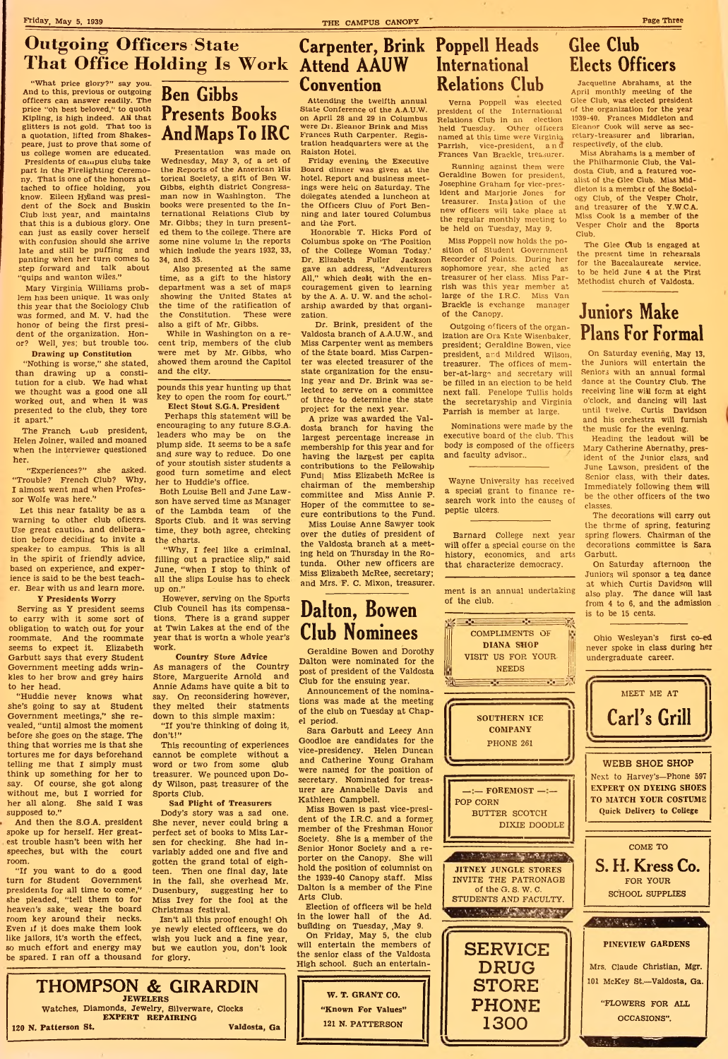Friday, May 5, 1939 Page Three CAMPUS CANOPY Page Three CAMPUS CANOPY Page Three

### **Outgoing Officers State That Office Holding Is Work** Attend AAUW

"What price glory?" say you. And to this, previous or outgoing officers can answer readily. The price "oh best beloved," to quoth Kipling, is high indeed. AH that glitters is not gold. That too is a quotation, lifted from Shakespeare, just to prove that some of us college women are educated. Presidents of campus clubs take part in the Pirelighting Ceremony. That is one of the honors attached to office holding, you know. Eileen Hylland was president of the Sock and Buskin Club last year, and maintains that this is a dubious glory. One can just as easily cover herself with confusion should she arrive late and still be puffing and panting when her turn comes to step forward and talk about "quips and wanton wiles."

Mary Virginia Williams problem has been unique. It was only this year that the Sociology Club was formed, and M. V. had the honor of being the first president of the organization. Honor? Well, yes; but trouble too.

#### Drawing up Constitution

"Nothing is worse," she stated, than drawing up a constitution for a club. We had what we thought was a good one all worked out, and when it was presented to the club, they tore it apart."

The Franch Liub president, Helen Joiner, wailed and moaned when the interviewer questioned her.

"Experiences?" she asked. "Trouble? French Club? Why, I almost went mad when Professor Wolfe was here.''

Let this near fatality be as a warning to other club oficers. Use great caution and deliberation before deciding to invite a speaker to campus. This is all in the spirit of friendly advice, based on experience, and experience is said to be the best teacher. Bear with us and learn more.

#### Y Presidents Worry

Serving as Y president seems to carry with it some sort of obligation to watch out for your roommate. And the roommate seems to expect it. Elizabeth Garbutt says that every Student Government meeting adds wrinkles to her brow and grey hairs to her head.

"Huddie never knows what she's going to say at Student Government meetings," she revealed, "until almost the moment before she goes on the stage. The thing that worries me is that she tortures me for days beforehand telling me that I simply must think up something for her to say. Of course, she got along without me, but I worried for her all along. She said I was supposed to."

And then the S.G.A, president spoke up for herself. Her greatest trouble hasn't been with her speeches, but with the court room.

"If you want to do a good turn for Student Government presidents for all time to come," she pleaded, "tell them to for heaven's sake, wear the board room key around their necks. Even if it does make them look like jailors, it's worth the effect, so much effort and energy may be spared. I ran off a thousand

## Ben Gibbs Presents Books And Maps To IRC

Presentation was made on Wednesday, May 3, of a set of the Reports of the American His torical Society, a gift of Ben W. Gibbs, eighth district Congressman now in Washington. The books were presented to the International Relations Club by Mr. Gibbs; they in turn presented them to the college. There are some nine volume in the reports which include the years 1932, 33, 34, and 35.

Also presented at the same time, as a gift to the history department was a set of maps showing the United States at the time of the ratification of the Constitution. These were also a gift of Mr. Gibbs.

While in Washington on a recent trip, members of the club were met by Mr. Gibbs, who showed them around the Capitol and the city.

pounds this year hunting up that key to open the room for court."

Elect Stout S.G.A. President Perhaps this statement will be encouraging to any future S.G.A. leaders who may be on the plump side. It seems to be a safe and sure way to reduce. Do one of your stoutish sister students a good turn sometime and elect her to Huddie's office.

Both Louise Bell and Jane Lawson have served time as Manager of the Lambda team of the Sports Club, and it was serving time, they both agree, checking the charts.

"Why, I feel like a criminal, filling out a practice slip," said June, "when I stop to think of all the slips Louise has to check up on."

However, serving on the Sports Club Council has its compensations. There is a grand supper at Twin Lakes at the end of the year that is worth a whole year's work.

#### Country Store Advice

As managers of the Country Store, Marguerite Arnold and Annie Adams have quite a bit to say. On reconsidering however, they melted their statments down to this simple maxim: "If you're thinking of doing it,

don't!"

This recounting of experiences cannot be complete without a word or two from some club treasurer. We pounced upon Dody Wilson, past treasurer of the Sports Club.

#### Sad Plight of Treasurers

Dody's story was a sad one. She never, never could bring a perfect set of books to Miss Larsen for checking. She had invariably added one and five and gotten the grand total of eighteen. Then one final day, late in the fall, she overhead Mr. Dusenbury, suggesting her to Miss Ivey for the fool at the Christmas festival.

Isn't all this proof enough! Oh ye newly elected officers, we do wish you luck and a fine year,

# Convention

Attending the twelfth annual State Conference of the A.A.U.W. on April 28 and 29 in Columbus were Dr. Eleanor Brink and Miss Frances Ruth Carpenter. Registration headquarters were at the Ralston Hotel.

Friday evening the Executive Board dinner was given at the hotel. Report and business meetings were held on Saturday. The ddlegates atended a luncheon at the Officers Cluu of Fort Benning and later toured Columbus and the Fort.

Honorable T. Hicks Ford of Columbus spoke on 'The Position of the College Woman Today.' Dr. Elizabeth Fuller Jackson gave an address, "Adventurers All," which dealt with the encouragement given to learning by the A. A. U. W. and the scholarship awarded by that organization.

Dr. Brink, president of the Valdosta branch of A.A.U.W., and Miss Carpenter went as members of the State board. Miss Carpenter was elected treasurer of the state organization for the ensuing year and Dr. Brink was selected to serve on a committee of three to determine the state project for the next year.

A prize was awarded the Valdosta branch for having the largest percentage increase In membership for this year and for having the largest per capita contributions to the Fellowship Fund| Miss Elizabeth McRee is chairman of the membership committee and Miss Annie P. Hoper of the committee to secure contributions to the Fund.

Miss Louise Anne Sawyer took over the duties of president of the Valdosta branch at a meeting held on Thursday in the Rotunda. Other new officers are Miss Elizabeth McRee, secretary; and Mrs. F. C. Mixon, treasurer.

### Carpenter, Brink Poppell Heads International Relations Club

Verna Poppell was elected president of the International Relations Club in an election held Tuesday. Other officers named at this time were Virginia Parrish, vice-president, and Frances Van Brackle, treasurer.

Running against them were Geraldine Bowen for president, Josephine Graham for vice-president and Marjorie Jones for treasurer. Insta)ation of the new officers will take place at the regular monthly meeting to be held on Tuesday, May 9.

Miss Poppell now holds the position of Student Government Recorder of Points. During her sophomore year, she acted as treasurer of her class. Miss Parrish was this year member at large of the I.R.C. Miss Van Brackle is exchange manager of the Canopy.

Outgoing officers of the organization are Ora Kate Wisenbaker, president; Geraldine Bowen, vice president, and Mildred Wilson, treasurer. The offices of member-at-large and secretary will be filled in an election to be held next fall. Penelope Tullis holds the secretaryship and Virginia Parrish is member at large.

Nominations were made by the executive board of the club. This body is composed of the officers and faculty advisor..

Wayne University has received a special grant to finance research work into the causes of peptic ulcers.

Barnard College next year will offer a special course on the history, economics, and arts that characterize democracy.

ment is an annual undertaking of the club.

> COMPLIMENTS OF DIANA SHOP

 $\rightarrow$   $\rightarrow$   $\rightarrow$   $\rightarrow$ 

# Dalton, Bowen Club Nominees

Geraldine Bowen and Dorothy Dalton were nominated for the post of president of the Valdosta Club for the ensuing year.

Announcement of the nominations was made at the meeting of the club on Tuesday at Chapel period.

Sara Garbutt and Leecy Ann Goodloe are candidates for the vice-presidency. Helen Duncan and Catherine Young Graham were named for the position of secretary. Nominated for treasurer are Annabelle Davis and Kathleen Campbell.

Miss Bowen is past vice-president of the I.R.C. and a former, member of the Freshman Honor Society. She is a member of the Senior Honor Society and a reporter on the Canopy. She will hold the position of columnist on the 1939-40 Canopy staff. Miss Dalton is a member of the Fine Arts Club.

Election of officers wil be held in the lower hall of the Ad. building on Tuesday, May 9.

On Friday, May 5, the club will entertain the members of



### Glee Club Elects Officers

Jacqueline Abrahams, at the April monthly meeting of the Glee Club, was elected president of the organization for the year 1939-40. Frances Middleton and Eleanor Cook will serve as secretary-treasurer and librarian, respectively, of the club.

Miss Abrahams is a member of the Philharmonic Club, the Valdosta Club, and a featured vocalist of the Glee Club. Miss Middleton is a member of the Sociology Club, of the Vesper Choir, and treasurer of the Y.W.C.A. Miss Cook is a member of the Vesper Choir and the Sports Club.

The Glee Club is engaged at the present time in rehearsals for the Baccalaureate service, to be held June 4 at the First Methodist church of Valdosta.

### Juniors Make Plans For Formal

On Saturday evening, May 13, the Juniors will entertain the Seniors with an annual formal dance at the Country Club. The receiving line will form at eight o'clock, and dancing will last until twelve. Curtis Davidson and his orchestra will furnish the music for the evening.

Heading the leadout will be Mary Catherine Abernathy, president of the Junior class, and June Lawson, president of the Senior class, with their dates. Immediately following them will be the other officers of the two classes.

The decorations will carry out the theme of spring, featuring spring flowers. Chairman of the decorations committee is Sara Garbutt.

On Saturday afternoon the Juniors wil sponsor a tea dance at which Curtis Davidson will also play. The dance will last from 4 to 6, and the admission is to be 15 cents.

Ohio Wesleyan's first co-ed never spoke in class during her undergraduate career.